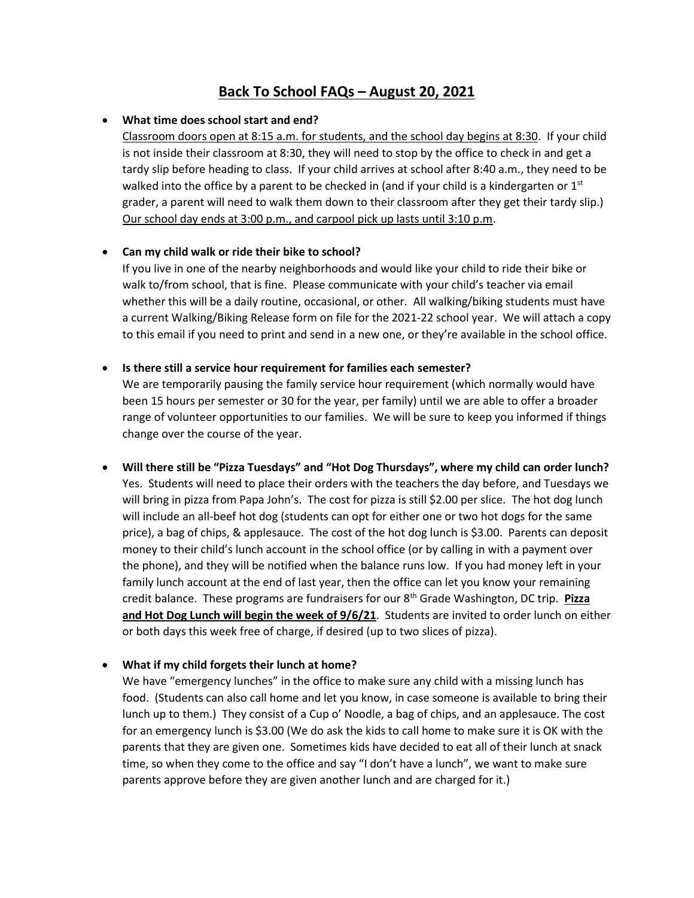# **Back To School FAQs – August 20, 2021**

#### • **What time does school start and end?**

Classroom doors open at 8:15 a.m. for students, and the school day begins at 8:30. If your child is not inside their classroom at 8:30, they will need to stop by the office to check in and get a tardy slip before heading to class. If your child arrives at school after 8:40 a.m., they need to be walked into the office by a parent to be checked in (and if your child is a kindergarten or  $1<sup>st</sup>$ grader, a parent will need to walk them down to their classroom after they get their tardy slip.) Our school day ends at 3:00 p.m., and carpool pick up lasts until 3:10 p.m.

## • **Can my child walk or ride their bike to school?**

If you live in one of the nearby neighborhoods and would like your child to ride their bike or walk to/from school, that is fine. Please communicate with your child's teacher via email whether this will be a daily routine, occasional, or other. All walking/biking students must have a current Walking/Biking Release form on file for the 2021-22 school year. We will attach a copy to this email if you need to print and send in a new one, or they're available in the school office.

#### • **Is there still a service hour requirement for families each semester?**

We are temporarily pausing the family service hour requirement (which normally would have been 15 hours per semester or 30 for the year, per family) until we are able to offer a broader range of volunteer opportunities to our families. We will be sure to keep you informed if things change over the course of the year.

• **Will there still be "Pizza Tuesdays" and "Hot Dog Thursdays", where my child can order lunch?** Yes. Students will need to place their orders with the teachers the day before, and Tuesdays we will bring in pizza from Papa John's. The cost for pizza is still \$2.00 per slice. The hot dog lunch will include an all-beef hot dog (students can opt for either one or two hot dogs for the same price), a bag of chips, & applesauce. The cost of the hot dog lunch is \$3.00. Parents can deposit money to their child's lunch account in the school office (or by calling in with a payment over the phone), and they will be notified when the balance runs low. If you had money left in your family lunch account at the end of last year, then the office can let you know your remaining credit balance. These programs are fundraisers for our 8th Grade Washington, DC trip. **Pizza and Hot Dog Lunch will begin the week of 9/6/21**. Students are invited to order lunch on either or both days this week free of charge, if desired (up to two slices of pizza).

# • **What if my child forgets their lunch at home?**

We have "emergency lunches" in the office to make sure any child with a missing lunch has food. (Students can also call home and let you know, in case someone is available to bring their lunch up to them.) They consist of a Cup o' Noodle, a bag of chips, and an applesauce. The cost for an emergency lunch is \$3.00 (We do ask the kids to call home to make sure it is OK with the parents that they are given one. Sometimes kids have decided to eat all of their lunch at snack time, so when they come to the office and say "I don't have a lunch", we want to make sure parents approve before they are given another lunch and are charged for it.)